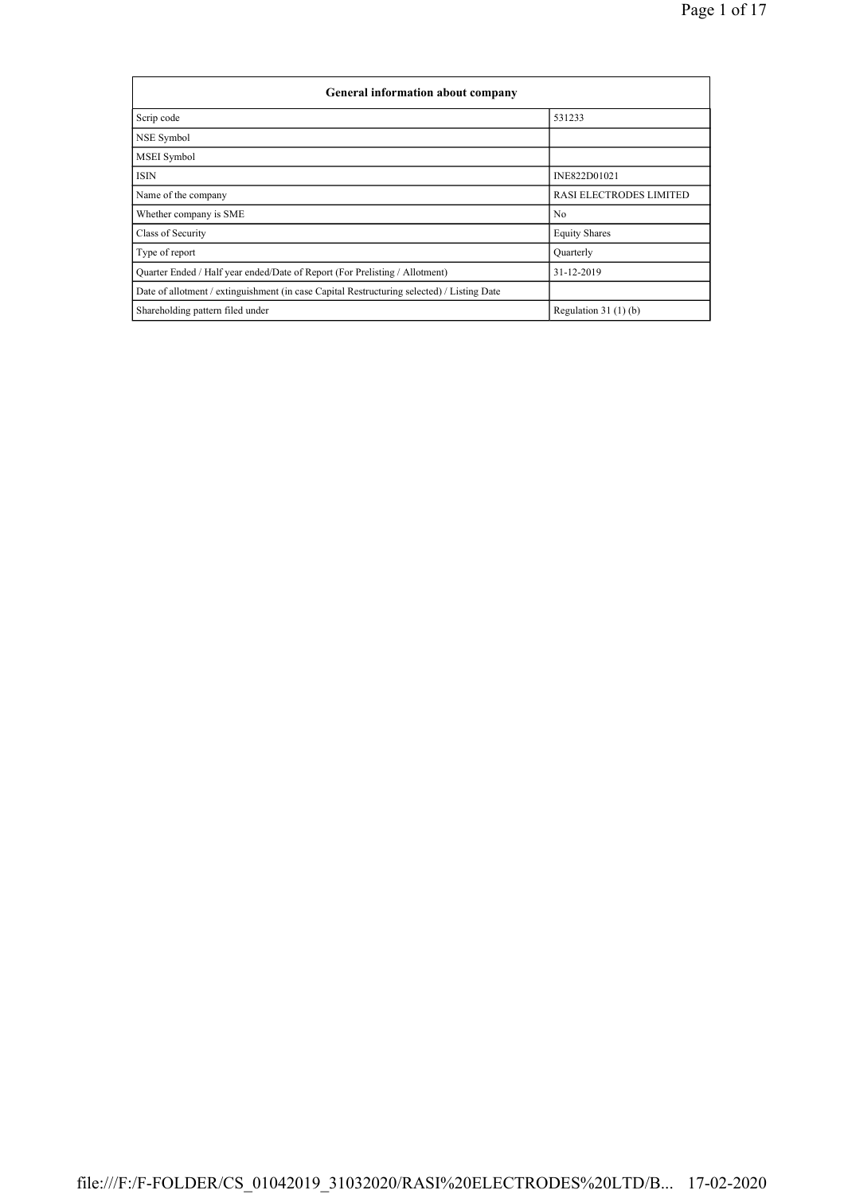| General information about company                                                          |                                |  |  |  |  |  |  |
|--------------------------------------------------------------------------------------------|--------------------------------|--|--|--|--|--|--|
| Scrip code                                                                                 | 531233                         |  |  |  |  |  |  |
| NSE Symbol                                                                                 |                                |  |  |  |  |  |  |
| <b>MSEI</b> Symbol                                                                         |                                |  |  |  |  |  |  |
| <b>ISIN</b>                                                                                | INE822D01021                   |  |  |  |  |  |  |
| Name of the company                                                                        | <b>RASI ELECTRODES LIMITED</b> |  |  |  |  |  |  |
| Whether company is SME                                                                     | No                             |  |  |  |  |  |  |
| Class of Security                                                                          | <b>Equity Shares</b>           |  |  |  |  |  |  |
| Type of report                                                                             | Quarterly                      |  |  |  |  |  |  |
| Quarter Ended / Half year ended/Date of Report (For Prelisting / Allotment)                | 31-12-2019                     |  |  |  |  |  |  |
| Date of allotment / extinguishment (in case Capital Restructuring selected) / Listing Date |                                |  |  |  |  |  |  |
| Shareholding pattern filed under                                                           | Regulation $31(1)(b)$          |  |  |  |  |  |  |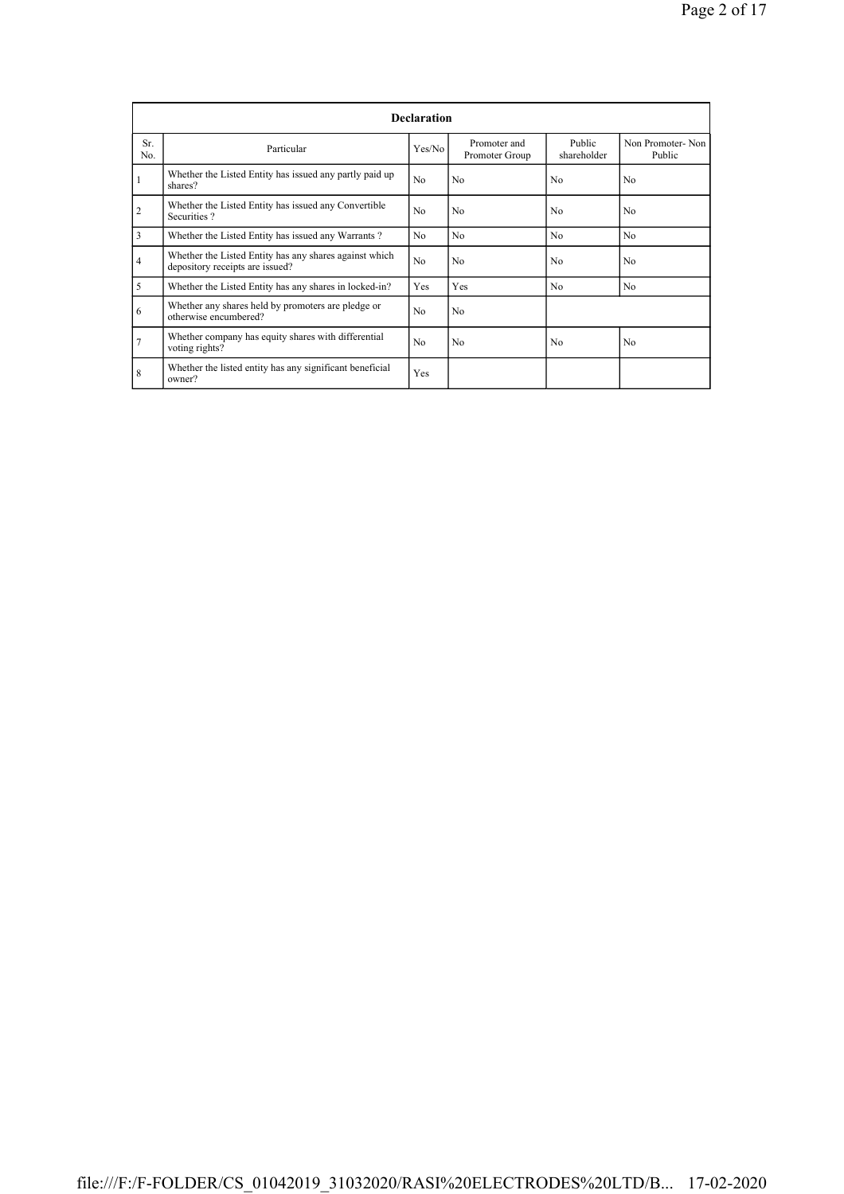|                | <b>Declaration</b>                                                                        |                |                                |                       |                            |  |  |  |  |
|----------------|-------------------------------------------------------------------------------------------|----------------|--------------------------------|-----------------------|----------------------------|--|--|--|--|
| Sr.<br>No.     | Particular                                                                                | Yes/No         | Promoter and<br>Promoter Group | Public<br>shareholder | Non Promoter-Non<br>Public |  |  |  |  |
|                | Whether the Listed Entity has issued any partly paid up<br>shares?                        | No             | N <sub>0</sub>                 | No                    | N <sub>0</sub>             |  |  |  |  |
| $\overline{2}$ | Whether the Listed Entity has issued any Convertible<br>Securities?                       | No             | N <sub>0</sub>                 | N <sub>0</sub>        | No                         |  |  |  |  |
| 3              | Whether the Listed Entity has issued any Warrants?                                        | N <sub>0</sub> | N <sub>0</sub>                 | N <sub>0</sub>        | N <sub>0</sub>             |  |  |  |  |
| $\overline{4}$ | Whether the Listed Entity has any shares against which<br>depository receipts are issued? | No             | N <sub>0</sub>                 | No                    | No                         |  |  |  |  |
| 5              | Whether the Listed Entity has any shares in locked-in?                                    | Yes            | Yes                            | No                    | N <sub>0</sub>             |  |  |  |  |
| 6              | Whether any shares held by promoters are pledge or<br>otherwise encumbered?               | No             | N <sub>0</sub>                 |                       |                            |  |  |  |  |
| 7              | Whether company has equity shares with differential<br>voting rights?                     | No.            | N <sub>0</sub>                 | No                    | N <sub>0</sub>             |  |  |  |  |
| 8              | Whether the listed entity has any significant beneficial<br>owner?                        | Yes            |                                |                       |                            |  |  |  |  |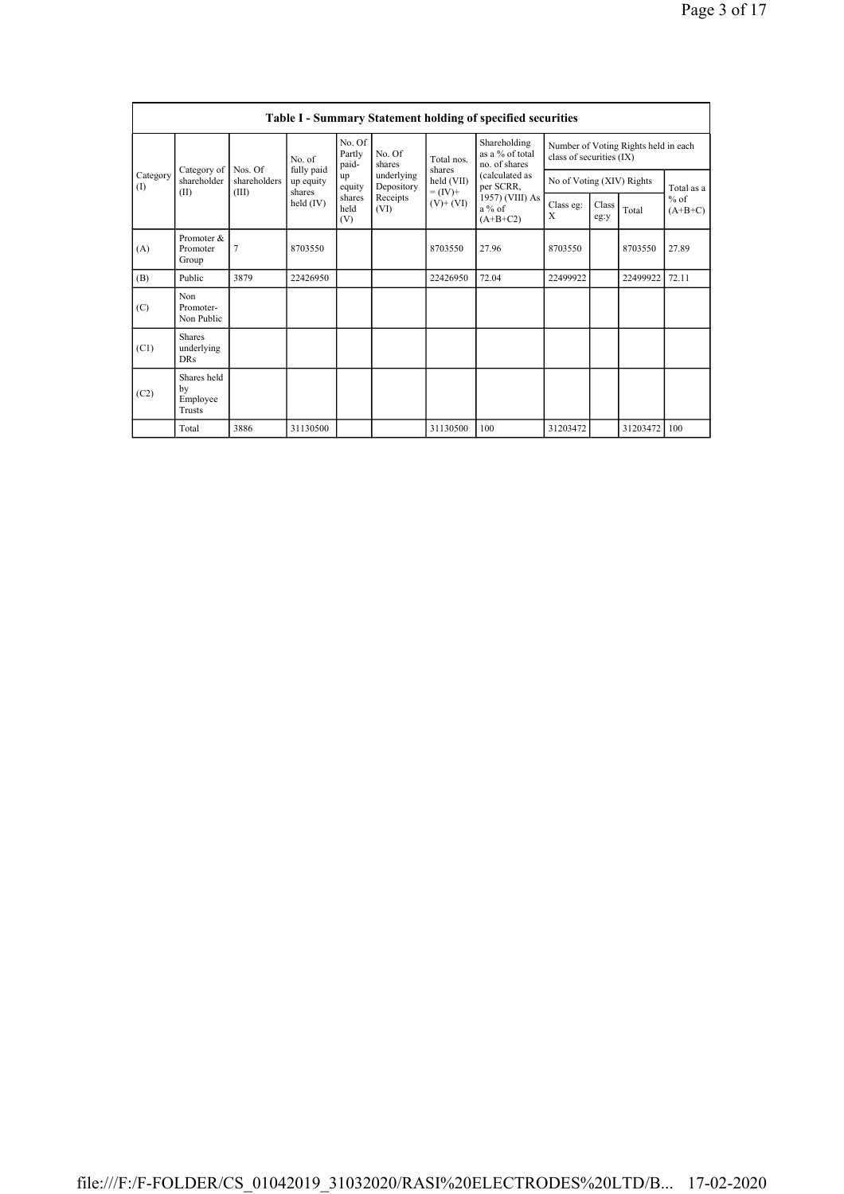|                 | <b>Table I - Summary Statement holding of specified securities</b> |                         |                         |                           |                                                                  |                                                      |                                                                          |                                                                  |               |          |                     |  |
|-----------------|--------------------------------------------------------------------|-------------------------|-------------------------|---------------------------|------------------------------------------------------------------|------------------------------------------------------|--------------------------------------------------------------------------|------------------------------------------------------------------|---------------|----------|---------------------|--|
| Category<br>(1) |                                                                    |                         | No. of                  | No. Of<br>Partly<br>paid- | No. Of<br>shares<br>underlying<br>Depository<br>Receipts<br>(VI) | Total nos.                                           | Shareholding<br>as a % of total<br>no. of shares                         | Number of Voting Rights held in each<br>class of securities (IX) |               |          |                     |  |
|                 | Category of<br>shareholder                                         | Nos. Of<br>shareholders | fully paid<br>up equity | up<br>equity              |                                                                  | shares<br>held (VII)<br>$= (IV) +$<br>$(V)$ + $(VI)$ | (calculated as<br>per SCRR,<br>1957) (VIII) As<br>$a\%$ of<br>$(A+B+C2)$ | No of Voting (XIV) Rights                                        |               |          | Total as a          |  |
|                 | (II)                                                               | (III)                   | shares<br>held (IV)     | shares<br>held<br>(V)     |                                                                  |                                                      |                                                                          | Class eg:<br>X                                                   | Class<br>eg:y | Total    | $%$ of<br>$(A+B+C)$ |  |
| (A)             | Promoter &<br>Promoter<br>Group                                    | 7                       | 8703550                 |                           |                                                                  | 8703550                                              | 27.96                                                                    | 8703550                                                          |               | 8703550  | 27.89               |  |
| (B)             | Public                                                             | 3879                    | 22426950                |                           |                                                                  | 22426950                                             | 72.04                                                                    | 22499922                                                         |               | 22499922 | 72.11               |  |
| (C)             | Non<br>Promoter-<br>Non Public                                     |                         |                         |                           |                                                                  |                                                      |                                                                          |                                                                  |               |          |                     |  |
| (C1)            | <b>Shares</b><br>underlying<br><b>DRs</b>                          |                         |                         |                           |                                                                  |                                                      |                                                                          |                                                                  |               |          |                     |  |
| (C2)            | Shares held<br>by<br>Employee<br>Trusts                            |                         |                         |                           |                                                                  |                                                      |                                                                          |                                                                  |               |          |                     |  |
|                 | Total                                                              | 3886                    | 31130500                |                           |                                                                  | 31130500                                             | 100                                                                      | 31203472                                                         |               | 31203472 | 100                 |  |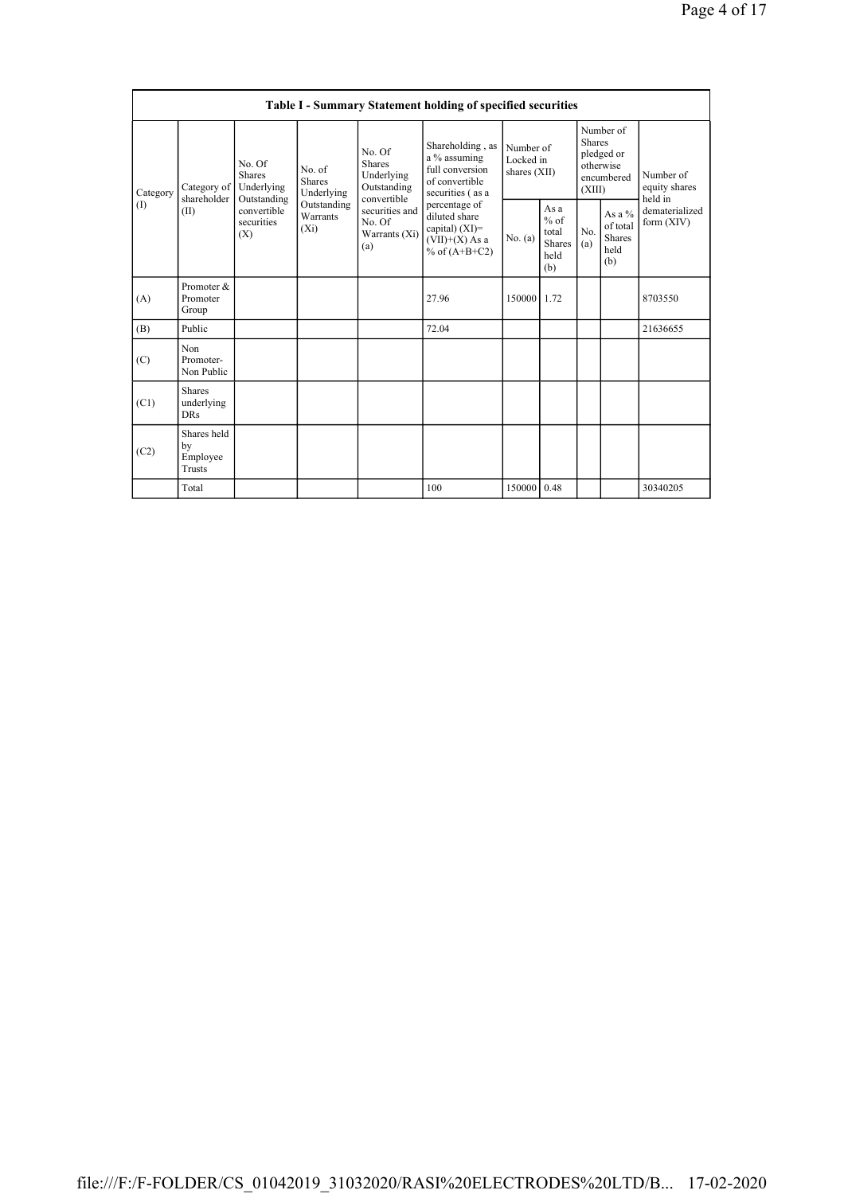|                 | Table I - Summary Statement holding of specified securities |                                                                                                                                                                         |                                                  |                                                                                            |                                                                                           |                                                  |            |                                                                               |                                |                                       |  |
|-----------------|-------------------------------------------------------------|-------------------------------------------------------------------------------------------------------------------------------------------------------------------------|--------------------------------------------------|--------------------------------------------------------------------------------------------|-------------------------------------------------------------------------------------------|--------------------------------------------------|------------|-------------------------------------------------------------------------------|--------------------------------|---------------------------------------|--|
| Category<br>(1) | Category of<br>shareholder<br>(II)                          | No. Of<br>No. of<br><b>Shares</b><br><b>Shares</b><br>Underlying<br>Underlying<br>Outstanding<br>Outstanding<br>convertible<br>Warrants<br>securities<br>$(X_i)$<br>(X) |                                                  | No. Of<br><b>Shares</b><br>Underlying<br>Outstanding<br>convertible                        | Shareholding, as<br>a % assuming<br>full conversion<br>of convertible<br>securities (as a | Number of<br>Locked in<br>shares (XII)           |            | Number of<br><b>Shares</b><br>pledged or<br>otherwise<br>encumbered<br>(XIII) |                                | Number of<br>equity shares<br>held in |  |
|                 |                                                             |                                                                                                                                                                         | securities and<br>No. Of<br>Warrants (Xi)<br>(a) | percentage of<br>diluted share<br>capital) $(XI)$ =<br>$(VII)+(X)$ As a<br>% of $(A+B+C2)$ | No. (a)                                                                                   | As a<br>$%$ of<br>total<br>Shares<br>held<br>(b) | No.<br>(a) | As a %<br>of total<br><b>Shares</b><br>held<br>(b)                            | dematerialized<br>form $(XIV)$ |                                       |  |
| (A)             | Promoter &<br>Promoter<br>Group                             |                                                                                                                                                                         |                                                  |                                                                                            | 27.96                                                                                     | 150000                                           | 1.72       |                                                                               |                                | 8703550                               |  |
| (B)             | Public                                                      |                                                                                                                                                                         |                                                  |                                                                                            | 72.04                                                                                     |                                                  |            |                                                                               |                                | 21636655                              |  |
| (C)             | Non<br>Promoter-<br>Non Public                              |                                                                                                                                                                         |                                                  |                                                                                            |                                                                                           |                                                  |            |                                                                               |                                |                                       |  |
| (C1)            | <b>Shares</b><br>underlying<br><b>DRs</b>                   |                                                                                                                                                                         |                                                  |                                                                                            |                                                                                           |                                                  |            |                                                                               |                                |                                       |  |
| (C2)            | Shares held<br>by<br>Employee<br>Trusts                     |                                                                                                                                                                         |                                                  |                                                                                            |                                                                                           |                                                  |            |                                                                               |                                |                                       |  |
|                 | Total                                                       |                                                                                                                                                                         |                                                  |                                                                                            | 100                                                                                       | 150000 0.48                                      |            |                                                                               |                                | 30340205                              |  |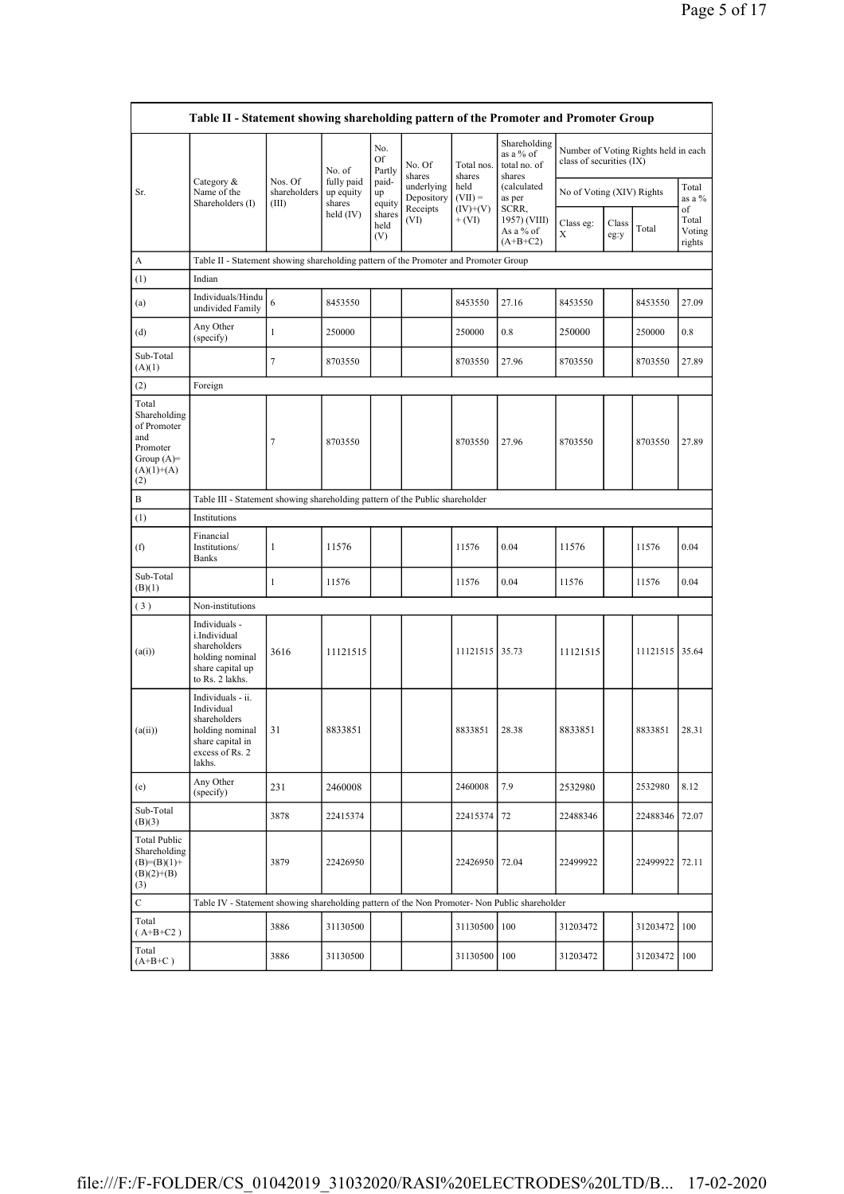|                                                                                                | Table II - Statement showing shareholding pattern of the Promoter and Promoter Group                                |                                  |                                   |                       |                          |                        |                                                     |                           |               |                                      |                                 |
|------------------------------------------------------------------------------------------------|---------------------------------------------------------------------------------------------------------------------|----------------------------------|-----------------------------------|-----------------------|--------------------------|------------------------|-----------------------------------------------------|---------------------------|---------------|--------------------------------------|---------------------------------|
|                                                                                                |                                                                                                                     |                                  | No. of                            | No.<br>Of<br>Partly   | No. Of<br>shares         | Total nos.<br>shares   | Shareholding<br>as a % of<br>total no. of<br>shares | class of securities (IX)  |               | Number of Voting Rights held in each |                                 |
| Sr.                                                                                            | Category $\&$<br>Name of the<br>Shareholders (I)                                                                    | Nos. Of<br>shareholders<br>(III) | fully paid<br>up equity<br>shares | paid-<br>up<br>equity | underlying<br>Depository | held<br>$(VII) =$      | (calculated<br>as per                               | No of Voting (XIV) Rights |               | Total<br>as a %                      |                                 |
|                                                                                                |                                                                                                                     |                                  | held $(IV)$                       | shares<br>held<br>(V) | Receipts<br>(VI)         | $(IV)+(V)$<br>$+ (VI)$ | SCRR,<br>1957) (VIII)<br>As a % of<br>$(A+B+C2)$    | Class eg:<br>X            | Class<br>eg:y | Total                                | of<br>Total<br>Voting<br>rights |
| A                                                                                              | Table II - Statement showing shareholding pattern of the Promoter and Promoter Group                                |                                  |                                   |                       |                          |                        |                                                     |                           |               |                                      |                                 |
| (1)                                                                                            | Indian                                                                                                              |                                  |                                   |                       |                          |                        |                                                     |                           |               |                                      |                                 |
| (a)                                                                                            | Individuals/Hindu<br>undivided Family                                                                               | 6                                | 8453550                           |                       |                          | 8453550                | 27.16                                               | 8453550                   |               | 8453550                              | 27.09                           |
| (d)                                                                                            | Any Other<br>(specify)                                                                                              | $\mathbf{1}$                     | 250000                            |                       |                          | 250000                 | 0.8                                                 | 250000                    |               | 250000                               | 0.8                             |
| Sub-Total<br>(A)(1)                                                                            |                                                                                                                     | $\boldsymbol{7}$                 | 8703550                           |                       |                          | 8703550                | 27.96                                               | 8703550                   |               | 8703550                              | 27.89                           |
| (2)                                                                                            | Foreign                                                                                                             |                                  |                                   |                       |                          |                        |                                                     |                           |               |                                      |                                 |
| Total<br>Shareholding<br>of Promoter<br>and<br>Promoter<br>Group $(A)=$<br>$(A)(1)+(A)$<br>(2) |                                                                                                                     | 7                                | 8703550                           |                       |                          | 8703550                | 27.96                                               | 8703550                   |               | 8703550                              | 27.89                           |
| B                                                                                              | Table III - Statement showing shareholding pattern of the Public shareholder                                        |                                  |                                   |                       |                          |                        |                                                     |                           |               |                                      |                                 |
| (1)                                                                                            | Institutions                                                                                                        |                                  |                                   |                       |                          |                        |                                                     |                           |               |                                      |                                 |
| (f)                                                                                            | Financial<br>Institutions/<br><b>Banks</b>                                                                          | $\mathbf{1}$                     | 11576                             |                       |                          | 11576                  | 0.04                                                | 11576                     |               | 11576                                | 0.04                            |
| Sub-Total<br>(B)(1)                                                                            |                                                                                                                     | 1                                | 11576                             |                       |                          | 11576                  | 0.04                                                | 11576                     |               | 11576                                | 0.04                            |
| (3)                                                                                            | Non-institutions                                                                                                    |                                  |                                   |                       |                          |                        |                                                     |                           |               |                                      |                                 |
| (a(i))                                                                                         | Individuals -<br>i.Individual<br>shareholders<br>holding nominal<br>share capital up<br>to Rs. 2 lakhs.             | 3616                             | 11121515                          |                       |                          | 11121515               | 35.73                                               | 11121515                  |               | 11121515                             | 35.64                           |
| (a(ii))                                                                                        | Individuals - ii.<br>Individual<br>shareholders<br>holding nominal<br>share capital in<br>excess of Rs. 2<br>lakhs. | 31                               | 8833851                           |                       |                          | 8833851                | 28.38                                               | 8833851                   |               | 8833851                              | 28.31                           |
| (e)                                                                                            | Any Other<br>(specify)                                                                                              | 231                              | 2460008                           |                       |                          | 2460008                | 7.9                                                 | 2532980                   |               | 2532980                              | 8.12                            |
| Sub-Total<br>(B)(3)                                                                            |                                                                                                                     | 3878                             | 22415374                          |                       |                          | 22415374               | 72                                                  | 22488346                  |               | 22488346                             | 72.07                           |
| <b>Total Public</b><br>Shareholding<br>$(B)= (B)(1) +$<br>$(B)(2)+(B)$<br>(3)                  |                                                                                                                     | 3879                             | 22426950                          |                       |                          | 22426950 72.04         |                                                     | 22499922                  |               | 22499922                             | 72.11                           |
| $\overline{C}$                                                                                 | Table IV - Statement showing shareholding pattern of the Non Promoter- Non Public shareholder                       |                                  |                                   |                       |                          |                        |                                                     |                           |               |                                      |                                 |
| Total<br>$(A+B+C2)$                                                                            |                                                                                                                     | 3886                             | 31130500                          |                       |                          | 31130500               | 100                                                 | 31203472                  |               | 31203472                             | 100                             |
| Total<br>$(A+B+C)$                                                                             |                                                                                                                     | 3886                             | 31130500                          |                       |                          | 31130500 100           |                                                     | 31203472                  |               | 31203472                             | 100                             |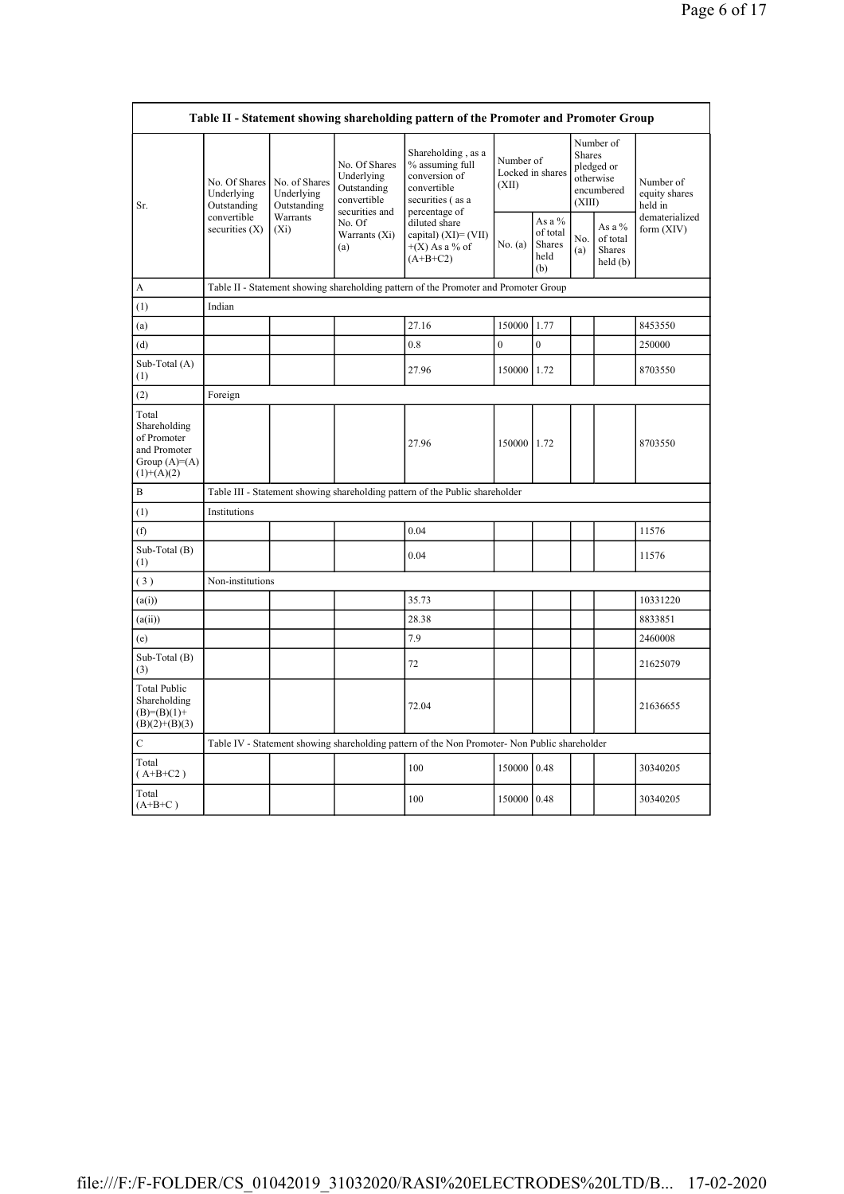| Table II - Statement showing shareholding pattern of the Promoter and Promoter Group   |                                                                                               |                                                                   |                                                                             |                                                                                                                                                                                          |                                        |                                             |                                                                               |                                         |                                       |
|----------------------------------------------------------------------------------------|-----------------------------------------------------------------------------------------------|-------------------------------------------------------------------|-----------------------------------------------------------------------------|------------------------------------------------------------------------------------------------------------------------------------------------------------------------------------------|----------------------------------------|---------------------------------------------|-------------------------------------------------------------------------------|-----------------------------------------|---------------------------------------|
| Sr.                                                                                    | No. Of Shares<br>Underlying<br>Outstanding<br>convertible<br>securities $(X)$                 | No. of Shares<br>Underlying<br>Outstanding<br>Warrants<br>$(X_i)$ | No. Of Shares<br>Underlying<br>Outstanding<br>convertible<br>securities and | Shareholding, as a<br>% assuming full<br>conversion of<br>convertible<br>securities (as a<br>percentage of<br>diluted share<br>capital) $(XI) = (VII)$<br>$+(X)$ As a % of<br>$(A+B+C2)$ | Number of<br>Locked in shares<br>(XII) |                                             | Number of<br><b>Shares</b><br>pledged or<br>otherwise<br>encumbered<br>(XIII) |                                         | Number of<br>equity shares<br>held in |
|                                                                                        |                                                                                               |                                                                   | No. Of<br>Warrants (Xi)<br>(a)                                              |                                                                                                                                                                                          | No. (a)                                | As a %<br>of total<br>Shares<br>held<br>(b) | No.<br>(a)                                                                    | As a %<br>of total<br>Shares<br>held(b) | dematerialized<br>form $(XIV)$        |
| A                                                                                      |                                                                                               |                                                                   |                                                                             | Table II - Statement showing shareholding pattern of the Promoter and Promoter Group                                                                                                     |                                        |                                             |                                                                               |                                         |                                       |
| (1)                                                                                    | Indian                                                                                        |                                                                   |                                                                             |                                                                                                                                                                                          |                                        |                                             |                                                                               |                                         |                                       |
| (a)                                                                                    |                                                                                               |                                                                   |                                                                             | 27.16                                                                                                                                                                                    | 150000                                 | 1.77                                        |                                                                               |                                         | 8453550                               |
| (d)                                                                                    |                                                                                               |                                                                   |                                                                             | 0.8                                                                                                                                                                                      | $\overline{0}$                         | $\overline{0}$                              |                                                                               |                                         | 250000                                |
| Sub-Total (A)<br>(1)                                                                   |                                                                                               |                                                                   |                                                                             | 27.96                                                                                                                                                                                    | 150000                                 | 1.72                                        |                                                                               |                                         | 8703550                               |
| (2)                                                                                    | Foreign                                                                                       |                                                                   |                                                                             |                                                                                                                                                                                          |                                        |                                             |                                                                               |                                         |                                       |
| Total<br>Shareholding<br>of Promoter<br>and Promoter<br>Group $(A)=A)$<br>$(1)+(A)(2)$ |                                                                                               |                                                                   |                                                                             | 27.96                                                                                                                                                                                    | 150000 1.72                            |                                             |                                                                               |                                         | 8703550                               |
| B                                                                                      |                                                                                               |                                                                   |                                                                             | Table III - Statement showing shareholding pattern of the Public shareholder                                                                                                             |                                        |                                             |                                                                               |                                         |                                       |
| (1)                                                                                    | Institutions                                                                                  |                                                                   |                                                                             |                                                                                                                                                                                          |                                        |                                             |                                                                               |                                         |                                       |
| (f)                                                                                    |                                                                                               |                                                                   |                                                                             | 0.04                                                                                                                                                                                     |                                        |                                             |                                                                               |                                         | 11576                                 |
| Sub-Total (B)<br>(1)                                                                   |                                                                                               |                                                                   |                                                                             | 0.04                                                                                                                                                                                     |                                        |                                             |                                                                               |                                         | 11576                                 |
| (3)                                                                                    | Non-institutions                                                                              |                                                                   |                                                                             |                                                                                                                                                                                          |                                        |                                             |                                                                               |                                         |                                       |
| (a(i))                                                                                 |                                                                                               |                                                                   |                                                                             | 35.73                                                                                                                                                                                    |                                        |                                             |                                                                               |                                         | 10331220                              |
| (a(ii))                                                                                |                                                                                               |                                                                   |                                                                             | 28.38                                                                                                                                                                                    |                                        |                                             |                                                                               |                                         | 8833851                               |
| (e)                                                                                    |                                                                                               |                                                                   |                                                                             | 7.9                                                                                                                                                                                      |                                        |                                             |                                                                               |                                         | 2460008                               |
| Sub-Total (B)<br>(3)                                                                   |                                                                                               |                                                                   |                                                                             | 72                                                                                                                                                                                       |                                        |                                             |                                                                               |                                         | 21625079                              |
| <b>Total Public</b><br>Shareholding<br>$(B)=(B)(1)+$<br>$(B)(2)+(B)(3)$                |                                                                                               |                                                                   |                                                                             | 72.04                                                                                                                                                                                    |                                        |                                             |                                                                               |                                         | 21636655                              |
| $\mathsf{C}$                                                                           | Table IV - Statement showing shareholding pattern of the Non Promoter- Non Public shareholder |                                                                   |                                                                             |                                                                                                                                                                                          |                                        |                                             |                                                                               |                                         |                                       |
| Total<br>$(A+B+C2)$                                                                    |                                                                                               |                                                                   |                                                                             | 100                                                                                                                                                                                      | 150000 0.48                            |                                             |                                                                               |                                         | 30340205                              |
| Total<br>$(A+B+C)$                                                                     |                                                                                               |                                                                   |                                                                             | 100                                                                                                                                                                                      | 150000 0.48                            |                                             |                                                                               |                                         | 30340205                              |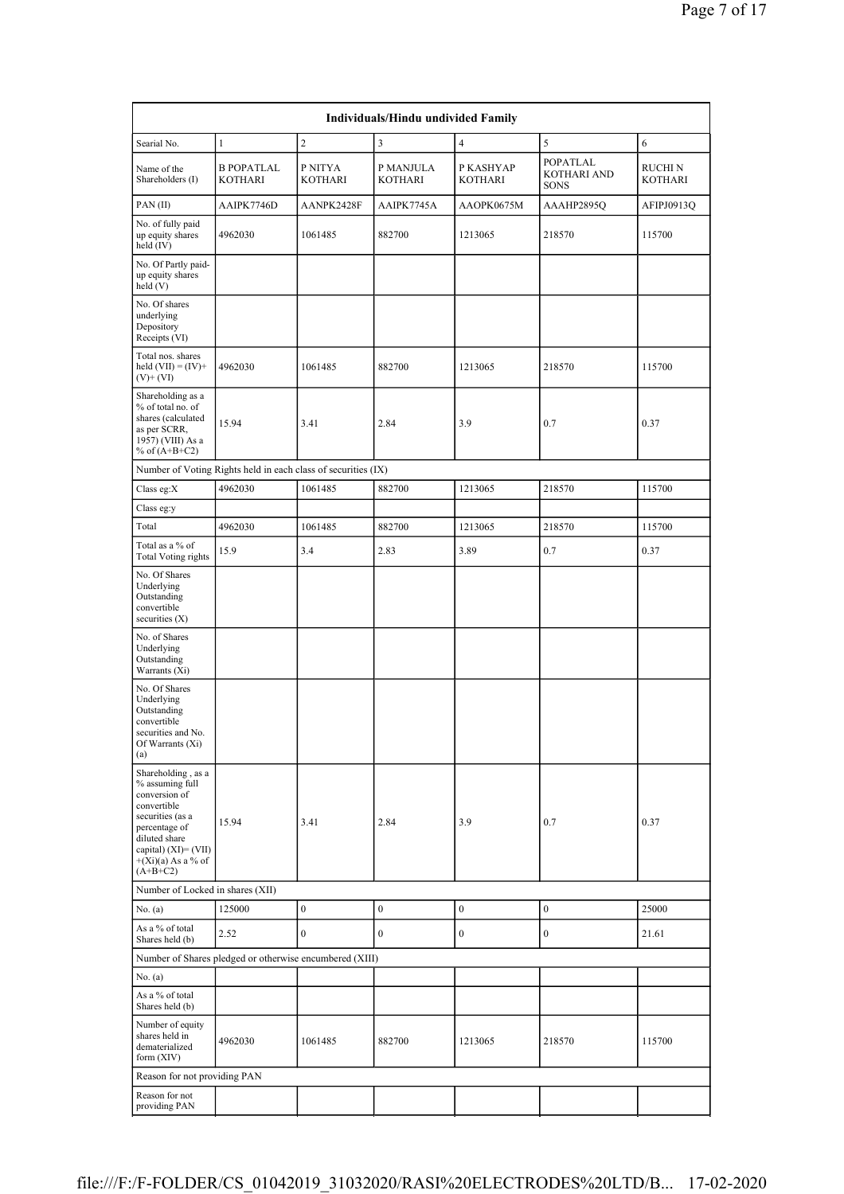| Individuals/Hindu undivided Family                                                                                                                                                           |                                                               |                    |                             |                             |                                 |                    |  |  |  |  |
|----------------------------------------------------------------------------------------------------------------------------------------------------------------------------------------------|---------------------------------------------------------------|--------------------|-----------------------------|-----------------------------|---------------------------------|--------------------|--|--|--|--|
| Searial No.                                                                                                                                                                                  | $\mathbf{1}$                                                  | $\overline{c}$     | $\overline{\mathbf{3}}$     | $\overline{4}$              | 5                               | 6                  |  |  |  |  |
| Name of the<br>Shareholders (I)                                                                                                                                                              | <b>B POPATLAL</b><br>KOTHARI                                  | P NITYA<br>KOTHARI | P MANJULA<br><b>KOTHARI</b> | P KASHYAP<br><b>KOTHARI</b> | POPATLAL<br>KOTHARI AND<br>SONS | RUCHI N<br>KOTHARI |  |  |  |  |
| PAN(II)                                                                                                                                                                                      | AAIPK7746D                                                    | AANPK2428F         | AAIPK7745A                  | AAOPK0675M                  | AAAHP2895Q                      | AFIPJ0913Q         |  |  |  |  |
| No. of fully paid<br>up equity shares<br>held (IV)                                                                                                                                           | 4962030                                                       | 1061485            | 882700                      | 1213065                     | 218570                          | 115700             |  |  |  |  |
| No. Of Partly paid-<br>up equity shares<br>held (V)                                                                                                                                          |                                                               |                    |                             |                             |                                 |                    |  |  |  |  |
| No. Of shares<br>underlying<br>Depository<br>Receipts (VI)                                                                                                                                   |                                                               |                    |                             |                             |                                 |                    |  |  |  |  |
| Total nos. shares<br>held $(VII) = (IV) +$<br>$(V)$ + $(VI)$                                                                                                                                 | 4962030                                                       | 1061485            | 882700                      | 1213065                     | 218570                          | 115700             |  |  |  |  |
| Shareholding as a<br>% of total no. of<br>shares (calculated<br>as per SCRR,<br>1957) (VIII) As a<br>% of $(A+B+C2)$                                                                         | 15.94                                                         | 3.41               | 2.84                        | 3.9                         | 0.7                             | 0.37               |  |  |  |  |
|                                                                                                                                                                                              | Number of Voting Rights held in each class of securities (IX) |                    |                             |                             |                                 |                    |  |  |  |  |
| Class eg: $X$                                                                                                                                                                                | 4962030                                                       | 1061485            | 882700                      | 1213065                     | 218570                          | 115700             |  |  |  |  |
| Class eg:y                                                                                                                                                                                   |                                                               |                    |                             |                             |                                 |                    |  |  |  |  |
| Total                                                                                                                                                                                        | 4962030                                                       | 1061485            | 882700                      | 1213065                     | 218570                          | 115700             |  |  |  |  |
| Total as a % of<br><b>Total Voting rights</b>                                                                                                                                                | 15.9                                                          | 3.4                | 2.83                        | 3.89                        | 0.7                             | 0.37               |  |  |  |  |
| No. Of Shares<br>Underlying<br>Outstanding<br>convertible<br>securities $(X)$<br>No. of Shares                                                                                               |                                                               |                    |                             |                             |                                 |                    |  |  |  |  |
| Underlying<br>Outstanding<br>Warrants (Xi)                                                                                                                                                   |                                                               |                    |                             |                             |                                 |                    |  |  |  |  |
| No. Of Shares<br>Underlying<br>Outstanding<br>convertible<br>securities and No.<br>Of Warrants (Xi)<br>(a)                                                                                   |                                                               |                    |                             |                             |                                 |                    |  |  |  |  |
| Shareholding, as a<br>% assuming full<br>conversion of<br>convertible<br>securities (as a<br>percentage of<br>diluted share<br>capital) $(XI) = (VII)$<br>$+(Xi)(a)$ As a % of<br>$(A+B+C2)$ | 15.94                                                         | 3.41               | 2.84                        | 3.9                         | 0.7                             | 0.37               |  |  |  |  |
| Number of Locked in shares (XII)                                                                                                                                                             |                                                               |                    |                             |                             |                                 |                    |  |  |  |  |
| No. (a)                                                                                                                                                                                      | 125000                                                        | $\boldsymbol{0}$   | $\bf{0}$                    | $\boldsymbol{0}$            | $\boldsymbol{0}$                | 25000              |  |  |  |  |
| As a % of total<br>Shares held (b)                                                                                                                                                           | 2.52                                                          | $\overline{0}$     | $\mathbf{0}$                | $\boldsymbol{0}$            | $\boldsymbol{0}$                | 21.61              |  |  |  |  |
|                                                                                                                                                                                              | Number of Shares pledged or otherwise encumbered (XIII)       |                    |                             |                             |                                 |                    |  |  |  |  |
| No. (a)                                                                                                                                                                                      |                                                               |                    |                             |                             |                                 |                    |  |  |  |  |
| As a % of total<br>Shares held (b)                                                                                                                                                           |                                                               |                    |                             |                             |                                 |                    |  |  |  |  |
| Number of equity<br>shares held in<br>dematerialized<br>form (XIV)                                                                                                                           | 4962030                                                       | 1061485            | 882700                      | 1213065                     | 218570                          | 115700             |  |  |  |  |
| Reason for not providing PAN                                                                                                                                                                 |                                                               |                    |                             |                             |                                 |                    |  |  |  |  |
| Reason for not<br>providing PAN                                                                                                                                                              |                                                               |                    |                             |                             |                                 |                    |  |  |  |  |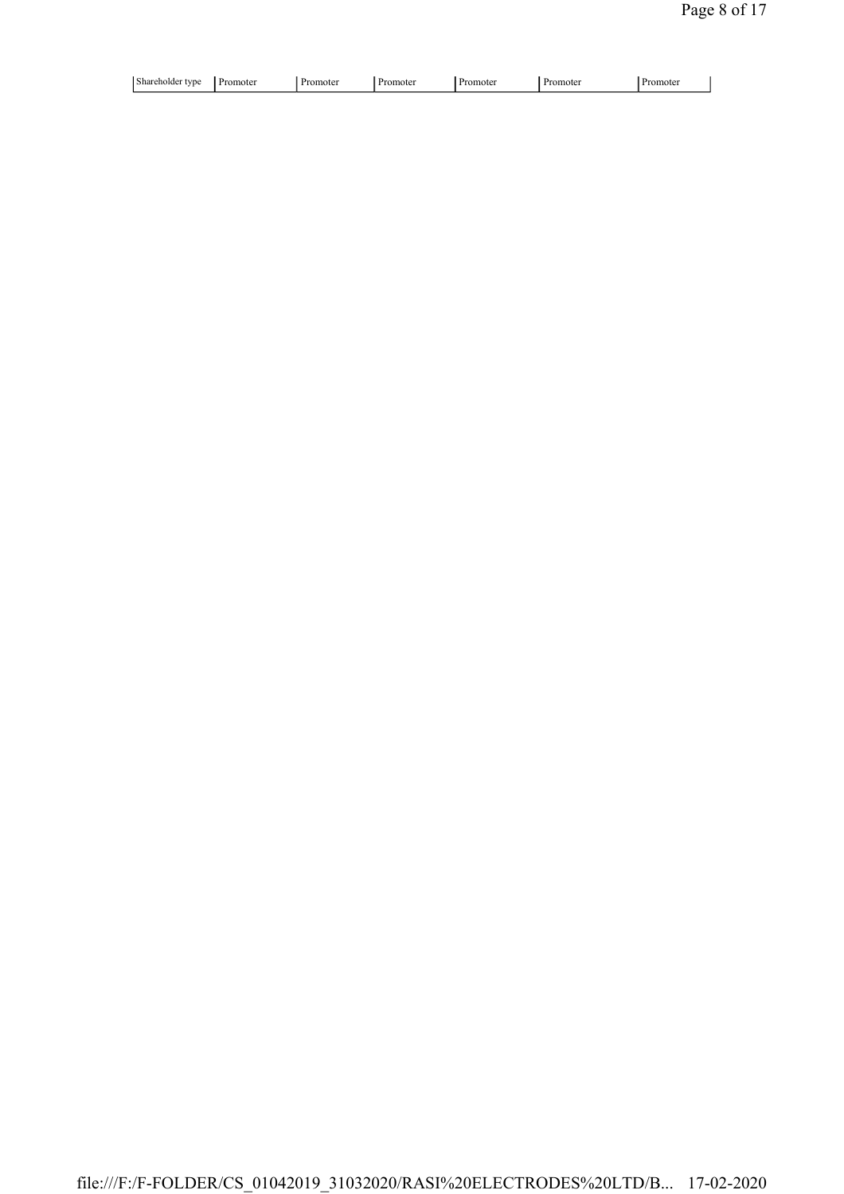| $\sim$<br>Shar<br>tyne<br>eholde<br>∿v D⊌<br>. . | ٦m<br>moter<br> | mote.<br>ΩТ | omoter | notei<br><br>۱г | .10ter<br>н | omote: |
|--------------------------------------------------|-----------------|-------------|--------|-----------------|-------------|--------|
|                                                  |                 |             |        |                 |             |        |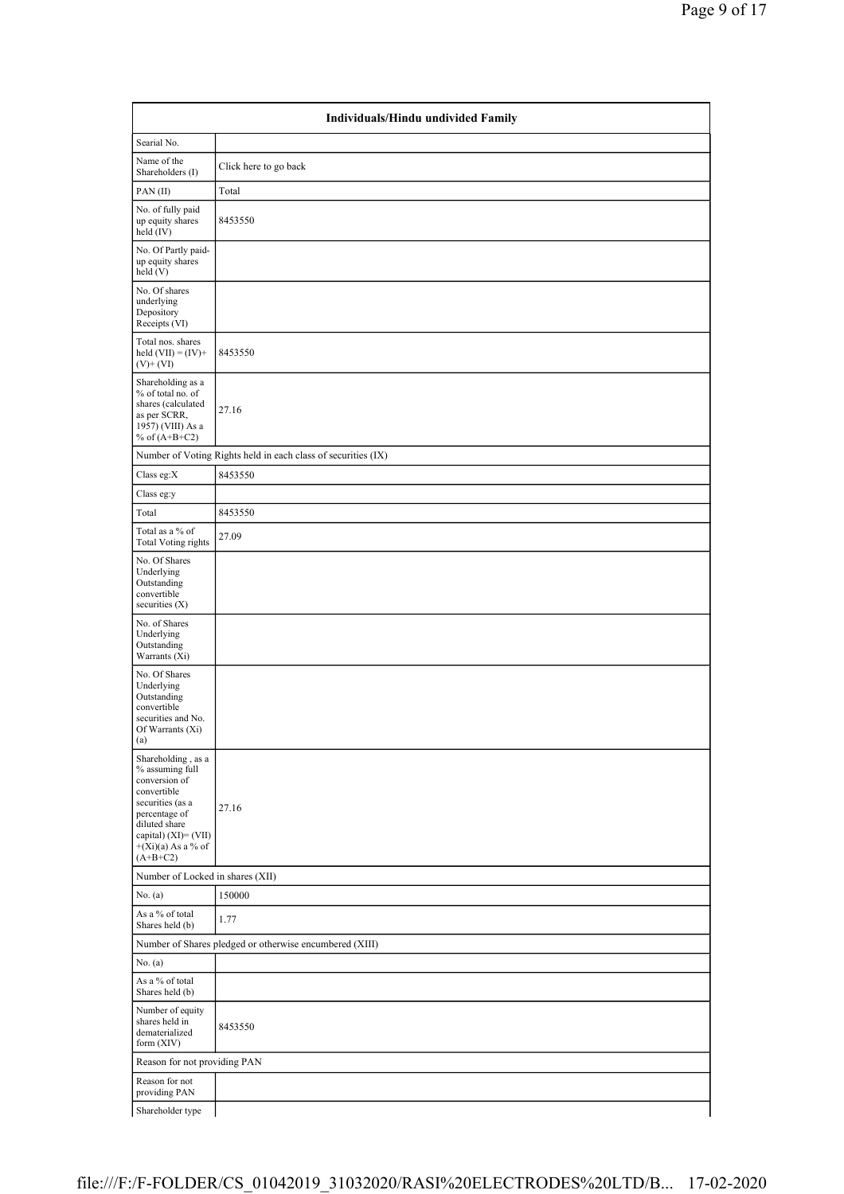| Individuals/Hindu undivided Family                                                                                                                                                           |                                                               |  |  |  |  |  |  |  |
|----------------------------------------------------------------------------------------------------------------------------------------------------------------------------------------------|---------------------------------------------------------------|--|--|--|--|--|--|--|
| Searial No.                                                                                                                                                                                  |                                                               |  |  |  |  |  |  |  |
| Name of the<br>Shareholders (I)                                                                                                                                                              | Click here to go back                                         |  |  |  |  |  |  |  |
| PAN(II)                                                                                                                                                                                      | Total                                                         |  |  |  |  |  |  |  |
| No. of fully paid<br>up equity shares<br>held (IV)                                                                                                                                           | 8453550                                                       |  |  |  |  |  |  |  |
| No. Of Partly paid-<br>up equity shares<br>held(V)                                                                                                                                           |                                                               |  |  |  |  |  |  |  |
| No. Of shares<br>underlying<br>Depository<br>Receipts (VI)                                                                                                                                   |                                                               |  |  |  |  |  |  |  |
| Total nos. shares<br>held $(VII) = (IV) +$<br>$(V)$ + $(VI)$                                                                                                                                 | 8453550                                                       |  |  |  |  |  |  |  |
| Shareholding as a<br>% of total no. of<br>shares (calculated<br>as per SCRR,<br>1957) (VIII) As a<br>% of $(A+B+C2)$                                                                         | 27.16                                                         |  |  |  |  |  |  |  |
|                                                                                                                                                                                              | Number of Voting Rights held in each class of securities (IX) |  |  |  |  |  |  |  |
| Class eg: $X$                                                                                                                                                                                | 8453550                                                       |  |  |  |  |  |  |  |
| Class eg:y                                                                                                                                                                                   |                                                               |  |  |  |  |  |  |  |
| Total                                                                                                                                                                                        | 8453550                                                       |  |  |  |  |  |  |  |
| Total as a % of<br><b>Total Voting rights</b>                                                                                                                                                | 27.09                                                         |  |  |  |  |  |  |  |
| No. Of Shares<br>Underlying<br>Outstanding<br>convertible<br>securities $(X)$                                                                                                                |                                                               |  |  |  |  |  |  |  |
| No. of Shares<br>Underlying<br>Outstanding<br>Warrants (Xi)                                                                                                                                  |                                                               |  |  |  |  |  |  |  |
| No. Of Shares<br>Underlying<br>Outstanding<br>convertible<br>securities and No.<br>Of Warrants $(Xi)$<br>(a)                                                                                 |                                                               |  |  |  |  |  |  |  |
| Shareholding, as a<br>% assuming full<br>conversion of<br>convertible<br>securities (as a<br>percentage of<br>diluted share<br>capital) $(XI) = (VII)$<br>$+(Xi)(a)$ As a % of<br>$(A+B+C2)$ | 27.16                                                         |  |  |  |  |  |  |  |
| Number of Locked in shares (XII)                                                                                                                                                             |                                                               |  |  |  |  |  |  |  |
| No. $(a)$                                                                                                                                                                                    | 150000                                                        |  |  |  |  |  |  |  |
| As a % of total<br>Shares held (b)                                                                                                                                                           | 1.77                                                          |  |  |  |  |  |  |  |
|                                                                                                                                                                                              | Number of Shares pledged or otherwise encumbered (XIII)       |  |  |  |  |  |  |  |
| No. $(a)$                                                                                                                                                                                    |                                                               |  |  |  |  |  |  |  |
| As a % of total<br>Shares held (b)                                                                                                                                                           |                                                               |  |  |  |  |  |  |  |
| Number of equity<br>shares held in<br>dematerialized<br>form (XIV)                                                                                                                           | 8453550                                                       |  |  |  |  |  |  |  |
| Reason for not providing PAN                                                                                                                                                                 |                                                               |  |  |  |  |  |  |  |
| Reason for not<br>providing PAN                                                                                                                                                              |                                                               |  |  |  |  |  |  |  |
| Shareholder type                                                                                                                                                                             |                                                               |  |  |  |  |  |  |  |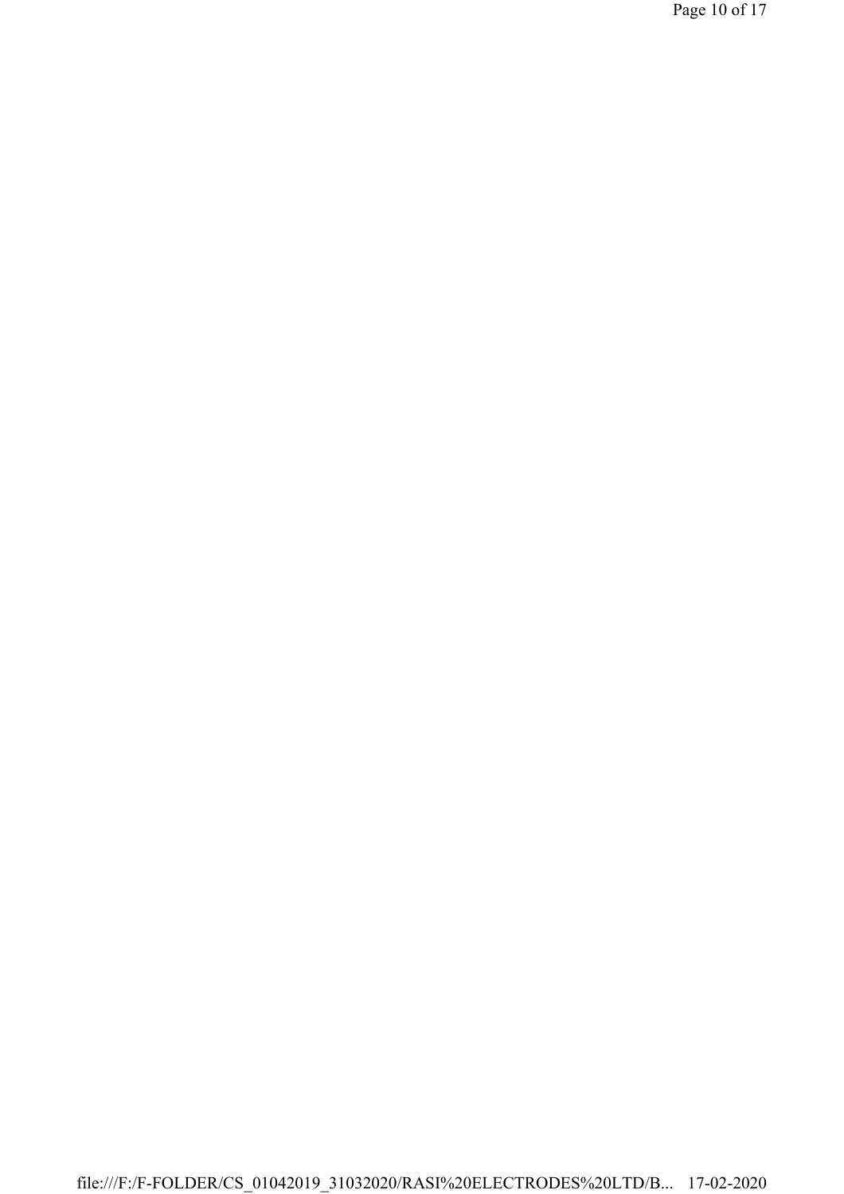Page 10 of 17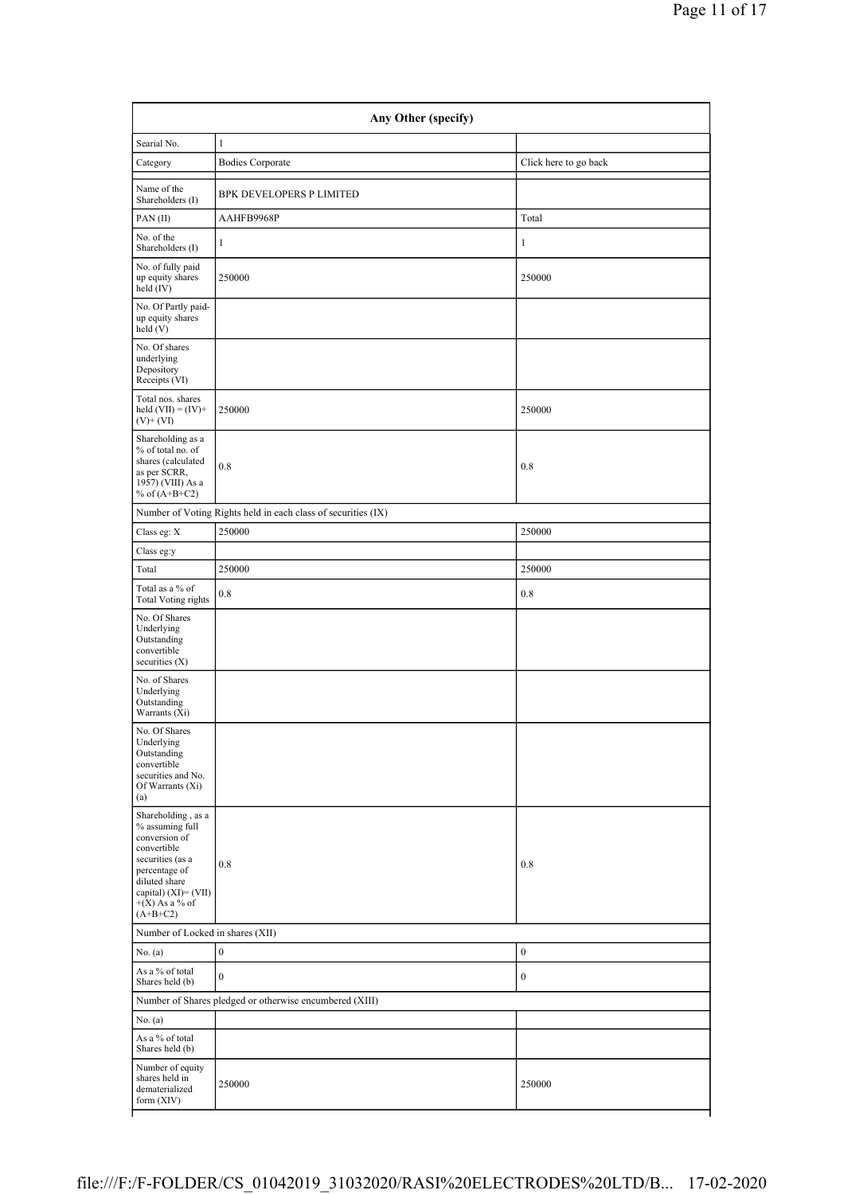| Searial No.                                                                                                                                                                              | $\mathbf{1}$                                                  |                       |
|------------------------------------------------------------------------------------------------------------------------------------------------------------------------------------------|---------------------------------------------------------------|-----------------------|
| Category                                                                                                                                                                                 | <b>Bodies Corporate</b>                                       | Click here to go back |
| Name of the<br>Shareholders (I)                                                                                                                                                          | <b>BPK DEVELOPERS P LIMITED</b>                               |                       |
| PAN(II)                                                                                                                                                                                  | AAHFB9968P                                                    | Total                 |
| No. of the<br>Shareholders (I)                                                                                                                                                           | $\mathbf{1}$                                                  | $\mathbf{1}$          |
| No. of fully paid<br>up equity shares<br>held (IV)                                                                                                                                       | 250000                                                        | 250000                |
| No. Of Partly paid-<br>up equity shares<br>held(V)                                                                                                                                       |                                                               |                       |
| No. Of shares<br>underlying<br>Depository<br>Receipts (VI)                                                                                                                               |                                                               |                       |
| Total nos. shares<br>held $(VII) = (IV) +$<br>$(V)$ + $(VI)$                                                                                                                             | 250000                                                        | 250000                |
| Shareholding as a<br>% of total no. of<br>shares (calculated<br>as per SCRR,<br>1957) (VIII) As a<br>% of $(A+B+C2)$                                                                     | 0.8                                                           | 0.8                   |
|                                                                                                                                                                                          | Number of Voting Rights held in each class of securities (IX) |                       |
| Class eg: X                                                                                                                                                                              | 250000                                                        | 250000                |
| Class eg:y                                                                                                                                                                               |                                                               |                       |
| Total                                                                                                                                                                                    | 250000                                                        | 250000                |
| Total as a % of<br><b>Total Voting rights</b>                                                                                                                                            | 0.8                                                           | $0.8\,$               |
| No. Of Shares<br>Underlying<br>Outstanding<br>convertible<br>securities $(X)$                                                                                                            |                                                               |                       |
| No. of Shares<br>Underlying<br>Outstanding<br>Warrants $(X_i)$                                                                                                                           |                                                               |                       |
| No. Of Shares<br>Underlying<br>Outstanding<br>convertible<br>securities and No.<br>Of Warrants (Xi)<br>(a)                                                                               |                                                               |                       |
| Shareholding, as a<br>% assuming full<br>conversion of<br>convertible<br>securities (as a<br>percentage of<br>diluted share<br>capital) $(XI) = (VII)$<br>$+(X)$ As a % of<br>$(A+B+C2)$ | 0.8                                                           | 0.8                   |
| Number of Locked in shares (XII)                                                                                                                                                         |                                                               |                       |
| No. (a)                                                                                                                                                                                  | $\mathbf 0$                                                   | $\boldsymbol{0}$      |
| As a % of total<br>Shares held (b)                                                                                                                                                       | $\theta$                                                      | $\mathbf{0}$          |
|                                                                                                                                                                                          | Number of Shares pledged or otherwise encumbered (XIII)       |                       |
| No. (a)                                                                                                                                                                                  |                                                               |                       |
| As a $\%$ of total<br>Shares held (b)                                                                                                                                                    |                                                               |                       |
| Number of equity<br>shares held in<br>dematerialized<br>form (XIV)                                                                                                                       | 250000                                                        | 250000                |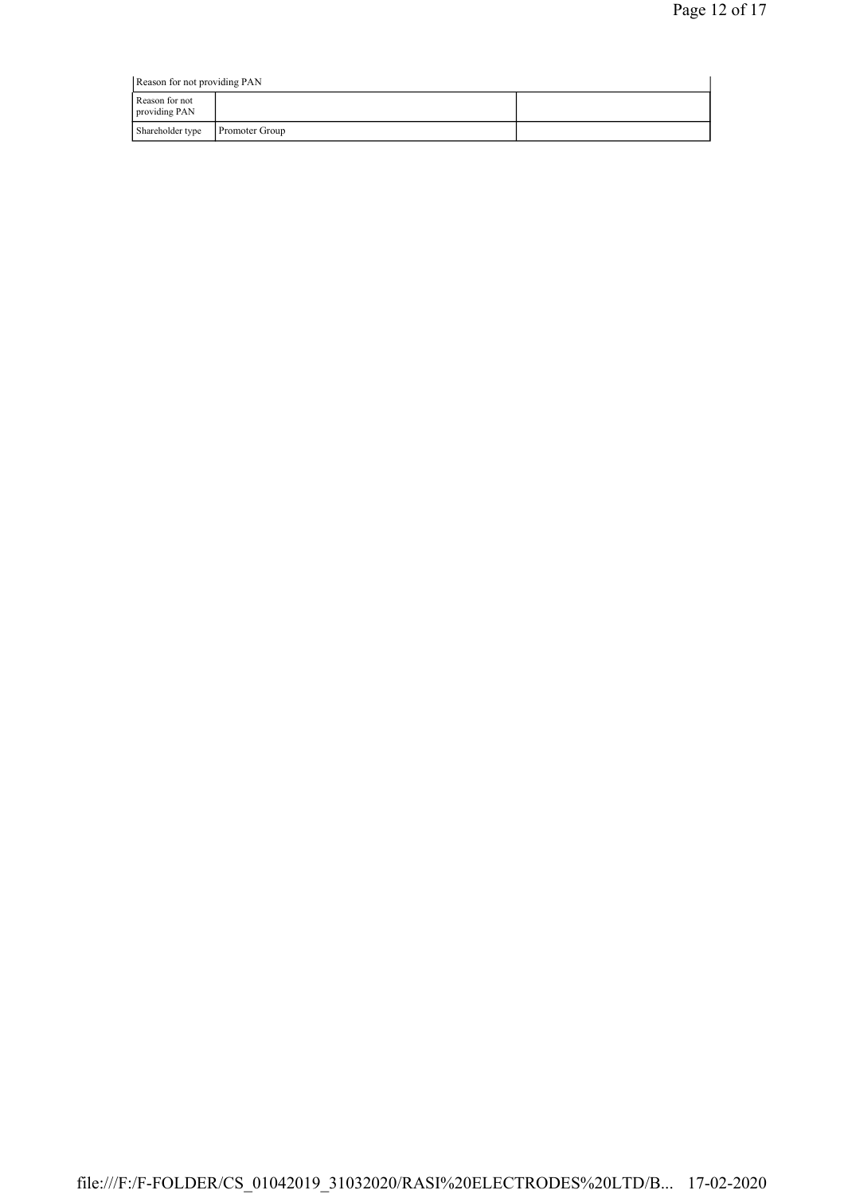|                                 | Reason for not providing PAN |  |  |  |  |  |  |  |
|---------------------------------|------------------------------|--|--|--|--|--|--|--|
| Reason for not<br>providing PAN |                              |  |  |  |  |  |  |  |
| Shareholder type                | <b>Promoter Group</b>        |  |  |  |  |  |  |  |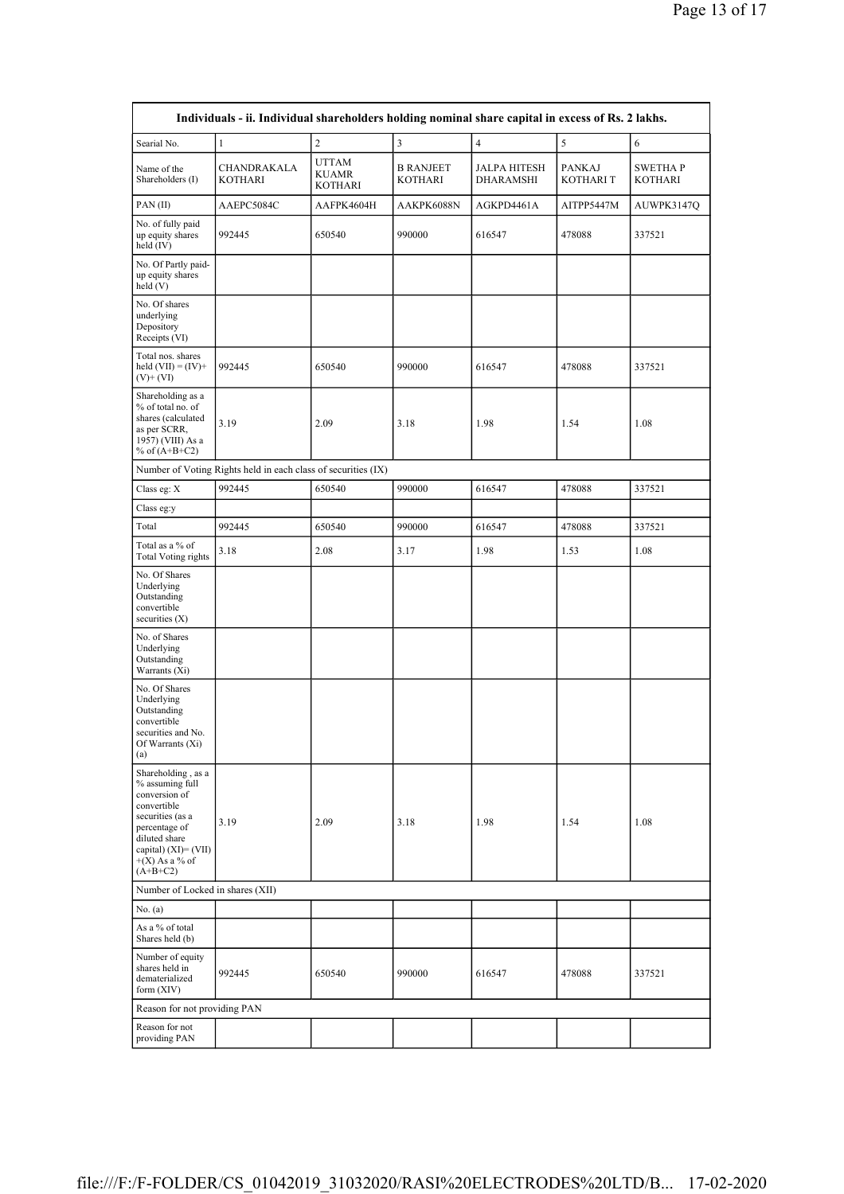|                                                                                                                                                                                       | Individuals - ii. Individual shareholders holding nominal share capital in excess of Rs. 2 lakhs. |                                         |                             |                                         |                                  |                           |  |  |  |  |
|---------------------------------------------------------------------------------------------------------------------------------------------------------------------------------------|---------------------------------------------------------------------------------------------------|-----------------------------------------|-----------------------------|-----------------------------------------|----------------------------------|---------------------------|--|--|--|--|
| Searial No.                                                                                                                                                                           | $\mathbf{1}$                                                                                      | $\overline{2}$                          | 3                           | $\overline{4}$                          | 5                                | 6                         |  |  |  |  |
| Name of the<br>Shareholders (I)                                                                                                                                                       | CHANDRAKALA<br><b>KOTHARI</b>                                                                     | <b>UTTAM</b><br><b>KUAMR</b><br>KOTHARI | <b>B RANJEET</b><br>KOTHARI | <b>JALPA HITESH</b><br><b>DHARAMSHI</b> | <b>PANKAJ</b><br><b>KOTHARIT</b> | <b>SWETHAP</b><br>KOTHARI |  |  |  |  |
| PAN(II)                                                                                                                                                                               | AAEPC5084C                                                                                        | AAFPK4604H                              | AAKPK6088N                  | AGKPD4461A                              | AITPP5447M                       | AUWPK3147Q                |  |  |  |  |
| No. of fully paid<br>up equity shares<br>held $(IV)$                                                                                                                                  | 992445                                                                                            | 650540                                  | 990000                      | 616547                                  | 478088                           | 337521                    |  |  |  |  |
| No. Of Partly paid-<br>up equity shares<br>held(V)                                                                                                                                    |                                                                                                   |                                         |                             |                                         |                                  |                           |  |  |  |  |
| No. Of shares<br>underlying<br>Depository<br>Receipts (VI)                                                                                                                            |                                                                                                   |                                         |                             |                                         |                                  |                           |  |  |  |  |
| Total nos. shares<br>held $(VII) = (IV) +$<br>$(V)$ + $(VI)$                                                                                                                          | 992445                                                                                            | 650540                                  | 990000                      | 616547                                  | 478088                           | 337521                    |  |  |  |  |
| Shareholding as a<br>% of total no. of<br>shares (calculated<br>as per SCRR,<br>1957) (VIII) As a<br>% of $(A+B+C2)$                                                                  | 3.19                                                                                              | 2.09                                    | 3.18                        | 1.98                                    | 1.54                             | 1.08                      |  |  |  |  |
|                                                                                                                                                                                       | Number of Voting Rights held in each class of securities (IX)                                     |                                         |                             |                                         |                                  |                           |  |  |  |  |
| Class eg: X                                                                                                                                                                           | 992445                                                                                            | 650540                                  | 990000                      | 616547                                  | 478088                           | 337521                    |  |  |  |  |
| Class eg:y                                                                                                                                                                            |                                                                                                   |                                         |                             |                                         |                                  |                           |  |  |  |  |
| Total                                                                                                                                                                                 | 992445                                                                                            | 650540                                  | 990000                      | 616547                                  | 478088                           | 337521                    |  |  |  |  |
| Total as a % of<br><b>Total Voting rights</b>                                                                                                                                         | 3.18                                                                                              | 2.08                                    | 3.17                        | 1.98                                    | 1.53                             | 1.08                      |  |  |  |  |
| No. Of Shares<br>Underlying<br>Outstanding<br>convertible<br>securities $(X)$                                                                                                         |                                                                                                   |                                         |                             |                                         |                                  |                           |  |  |  |  |
| No. of Shares<br>Underlying<br>Outstanding<br>Warrants (Xi)                                                                                                                           |                                                                                                   |                                         |                             |                                         |                                  |                           |  |  |  |  |
| No. Of Shares<br>Underlying<br>Outstanding<br>convertible<br>securities and No.<br>Of Warrants $(Xi)$<br>(a)                                                                          |                                                                                                   |                                         |                             |                                         |                                  |                           |  |  |  |  |
| Shareholding, as a<br>% assuming full<br>conversion of<br>convertible<br>securities (as a<br>percentage of<br>diluted share<br>capital) (XI)= (VII)<br>$+(X)$ As a % of<br>$(A+B+C2)$ | 3.19                                                                                              | 2.09                                    | 3.18                        | 1.98                                    | 1.54                             | 1.08                      |  |  |  |  |
| Number of Locked in shares (XII)                                                                                                                                                      |                                                                                                   |                                         |                             |                                         |                                  |                           |  |  |  |  |
| No. (a)                                                                                                                                                                               |                                                                                                   |                                         |                             |                                         |                                  |                           |  |  |  |  |
| As a % of total<br>Shares held (b)                                                                                                                                                    |                                                                                                   |                                         |                             |                                         |                                  |                           |  |  |  |  |
| Number of equity<br>shares held in<br>dematerialized<br>form (XIV)                                                                                                                    | 992445                                                                                            | 650540                                  | 990000                      | 616547                                  | 478088                           | 337521                    |  |  |  |  |
| Reason for not providing PAN                                                                                                                                                          |                                                                                                   |                                         |                             |                                         |                                  |                           |  |  |  |  |
| Reason for not<br>providing PAN                                                                                                                                                       |                                                                                                   |                                         |                             |                                         |                                  |                           |  |  |  |  |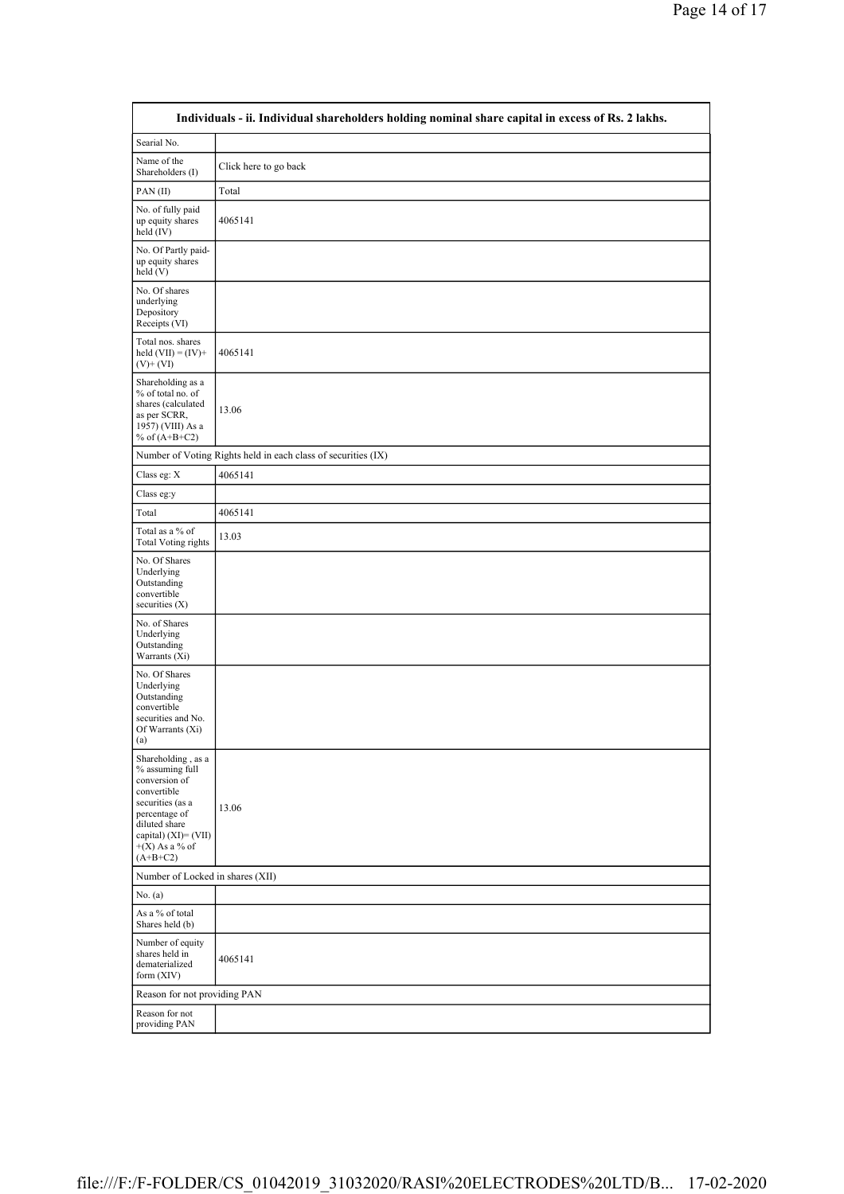| Individuals - ii. Individual shareholders holding nominal share capital in excess of Rs. 2 lakhs.                                                                                        |                                                               |  |  |  |  |  |  |  |  |
|------------------------------------------------------------------------------------------------------------------------------------------------------------------------------------------|---------------------------------------------------------------|--|--|--|--|--|--|--|--|
| Searial No.                                                                                                                                                                              |                                                               |  |  |  |  |  |  |  |  |
| Name of the<br>Shareholders (I)                                                                                                                                                          | Click here to go back                                         |  |  |  |  |  |  |  |  |
| PAN(II)                                                                                                                                                                                  | Total                                                         |  |  |  |  |  |  |  |  |
| No. of fully paid<br>up equity shares<br>held $(IV)$                                                                                                                                     | 4065141                                                       |  |  |  |  |  |  |  |  |
| No. Of Partly paid-<br>up equity shares<br>held (V)                                                                                                                                      |                                                               |  |  |  |  |  |  |  |  |
| No. Of shares<br>underlying<br>Depository<br>Receipts (VI)                                                                                                                               |                                                               |  |  |  |  |  |  |  |  |
| Total nos. shares<br>held $(VII) = (IV) +$<br>$(V)$ + $(VI)$                                                                                                                             | 4065141                                                       |  |  |  |  |  |  |  |  |
| Shareholding as a<br>% of total no. of<br>shares (calculated<br>as per SCRR,<br>1957) (VIII) As a<br>% of $(A+B+C2)$                                                                     | 13.06                                                         |  |  |  |  |  |  |  |  |
|                                                                                                                                                                                          | Number of Voting Rights held in each class of securities (IX) |  |  |  |  |  |  |  |  |
| Class eg: X                                                                                                                                                                              | 4065141                                                       |  |  |  |  |  |  |  |  |
| Class eg:y                                                                                                                                                                               |                                                               |  |  |  |  |  |  |  |  |
| Total                                                                                                                                                                                    | 4065141                                                       |  |  |  |  |  |  |  |  |
| Total as a % of<br><b>Total Voting rights</b>                                                                                                                                            | 13.03                                                         |  |  |  |  |  |  |  |  |
| No. Of Shares<br>Underlying<br>Outstanding<br>convertible<br>securities $(X)$                                                                                                            |                                                               |  |  |  |  |  |  |  |  |
| No. of Shares<br>Underlying<br>Outstanding<br>Warrants (Xi)                                                                                                                              |                                                               |  |  |  |  |  |  |  |  |
| No. Of Shares<br>Underlying<br>Outstanding<br>convertible<br>securities and No.<br>Of Warrants (Xi)<br>(a)                                                                               |                                                               |  |  |  |  |  |  |  |  |
| Shareholding, as a<br>% assuming full<br>conversion of<br>convertible<br>securities (as a<br>percentage of<br>diluted share<br>capital) $(XI) = (VII)$<br>$+(X)$ As a % of<br>$(A+B+C2)$ | 13.06                                                         |  |  |  |  |  |  |  |  |
| Number of Locked in shares (XII)                                                                                                                                                         |                                                               |  |  |  |  |  |  |  |  |
| No. (a)                                                                                                                                                                                  |                                                               |  |  |  |  |  |  |  |  |
| As a % of total<br>Shares held (b)                                                                                                                                                       |                                                               |  |  |  |  |  |  |  |  |
| Number of equity<br>shares held in<br>dematerialized<br>form $(XIV)$                                                                                                                     | 4065141                                                       |  |  |  |  |  |  |  |  |
| Reason for not providing PAN                                                                                                                                                             |                                                               |  |  |  |  |  |  |  |  |
| Reason for not<br>providing PAN                                                                                                                                                          |                                                               |  |  |  |  |  |  |  |  |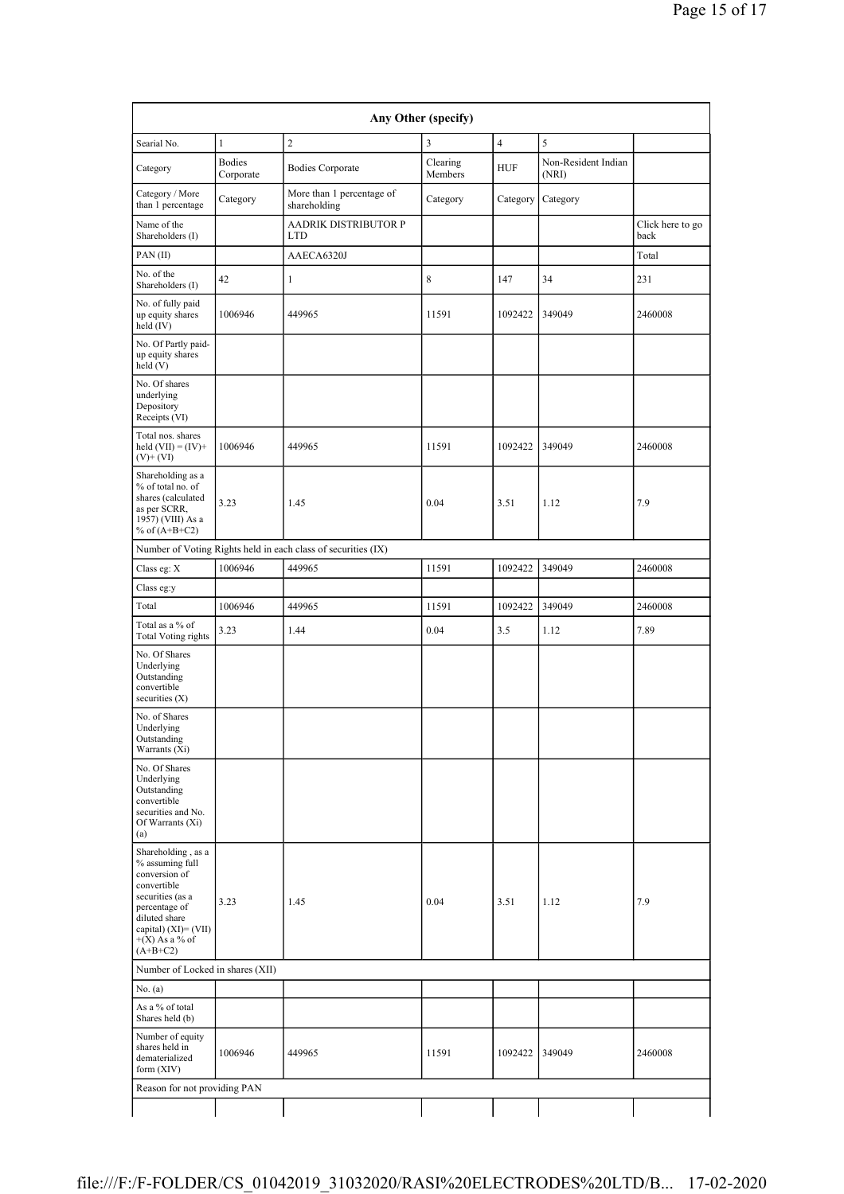| Any Other (specify)                                                                                                                                                                      |                                                               |                                           |                     |                |                              |         |  |  |  |  |  |
|------------------------------------------------------------------------------------------------------------------------------------------------------------------------------------------|---------------------------------------------------------------|-------------------------------------------|---------------------|----------------|------------------------------|---------|--|--|--|--|--|
| Searial No.                                                                                                                                                                              | $\mathbf{1}$                                                  | $\overline{c}$                            | 3                   | $\overline{4}$ | 5                            |         |  |  |  |  |  |
| Category                                                                                                                                                                                 | <b>Bodies</b><br>Corporate                                    | <b>Bodies Corporate</b>                   | Clearing<br>Members | <b>HUF</b>     | Non-Resident Indian<br>(NRI) |         |  |  |  |  |  |
| Category / More<br>than 1 percentage                                                                                                                                                     | Category                                                      | More than 1 percentage of<br>shareholding | Category            | Category       | Category                     |         |  |  |  |  |  |
| Name of the<br>Shareholders (I)                                                                                                                                                          |                                                               | AADRIK DISTRIBUTOR P<br><b>LTD</b>        |                     |                | Click here to go<br>back     |         |  |  |  |  |  |
| PAN(II)                                                                                                                                                                                  |                                                               | AAECA6320J                                |                     |                |                              | Total   |  |  |  |  |  |
| No. of the<br>Shareholders (I)                                                                                                                                                           | 42                                                            | 1                                         | 8                   | 147            | 34                           | 231     |  |  |  |  |  |
| No. of fully paid<br>up equity shares<br>held (IV)                                                                                                                                       | 1006946                                                       | 449965                                    | 11591               | 1092422        | 349049                       | 2460008 |  |  |  |  |  |
| No. Of Partly paid-<br>up equity shares<br>held (V)                                                                                                                                      |                                                               |                                           |                     |                |                              |         |  |  |  |  |  |
| No. Of shares<br>underlying<br>Depository<br>Receipts (VI)                                                                                                                               |                                                               |                                           |                     |                |                              |         |  |  |  |  |  |
| Total nos. shares<br>held $(VII) = (IV) +$<br>$(V)$ + (VI)                                                                                                                               | 1006946                                                       | 449965                                    | 11591               | 1092422        | 349049                       | 2460008 |  |  |  |  |  |
| Shareholding as a<br>% of total no. of<br>shares (calculated<br>as per SCRR,<br>1957) (VIII) As a<br>% of $(A+B+C2)$                                                                     | 3.23                                                          | 1.45                                      | 0.04                | 3.51           | 1.12                         | 7.9     |  |  |  |  |  |
|                                                                                                                                                                                          | Number of Voting Rights held in each class of securities (IX) |                                           |                     |                |                              |         |  |  |  |  |  |
| Class eg: X                                                                                                                                                                              | 1006946                                                       | 449965                                    | 11591               | 1092422        | 349049                       | 2460008 |  |  |  |  |  |
| Class eg:y                                                                                                                                                                               |                                                               |                                           |                     |                |                              |         |  |  |  |  |  |
| Total                                                                                                                                                                                    | 1006946                                                       | 449965                                    | 11591               | 1092422        | 349049                       | 2460008 |  |  |  |  |  |
| Total as a % of<br><b>Total Voting rights</b>                                                                                                                                            | 3.23                                                          | 1.44                                      | 0.04                | 3.5            | 1.12                         | 7.89    |  |  |  |  |  |
| No. Of Shares<br>Underlying<br>Outstanding<br>convertible<br>securities $(X)$                                                                                                            |                                                               |                                           |                     |                |                              |         |  |  |  |  |  |
| No. of Shares<br>Underlying<br>Outstanding<br>Warrants (Xi)                                                                                                                              |                                                               |                                           |                     |                |                              |         |  |  |  |  |  |
| No. Of Shares<br>Underlying<br>Outstanding<br>convertible<br>securities and No.<br>Of Warrants (Xi)<br>(a)                                                                               |                                                               |                                           |                     |                |                              |         |  |  |  |  |  |
| Shareholding, as a<br>% assuming full<br>conversion of<br>convertible<br>securities (as a<br>percentage of<br>diluted share<br>capital) $(XI) = (VII)$<br>$+(X)$ As a % of<br>$(A+B+C2)$ | 3.23                                                          | 1.45                                      | 0.04                | 3.51           | 1.12                         | 7.9     |  |  |  |  |  |
| Number of Locked in shares (XII)                                                                                                                                                         |                                                               |                                           |                     |                |                              |         |  |  |  |  |  |
| No. (a)                                                                                                                                                                                  |                                                               |                                           |                     |                |                              |         |  |  |  |  |  |
| As a % of total<br>Shares held (b)                                                                                                                                                       |                                                               |                                           |                     |                |                              |         |  |  |  |  |  |
| Number of equity<br>shares held in<br>dematerialized<br>form (XIV)                                                                                                                       | 1006946                                                       | 449965                                    | 11591               | 1092422        | 349049                       | 2460008 |  |  |  |  |  |
| Reason for not providing PAN                                                                                                                                                             |                                                               |                                           |                     |                |                              |         |  |  |  |  |  |
|                                                                                                                                                                                          |                                                               |                                           |                     |                |                              |         |  |  |  |  |  |